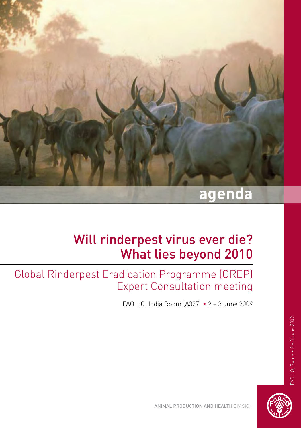

# Will rinderpest virus ever die? What lies beyond 2010

Global Rinderpest Eradication Programme (GREP) Expert Consultation meeting

FAO HQ, India Room (A327) • 2 – 3 June 2009



Animal Production and Health Division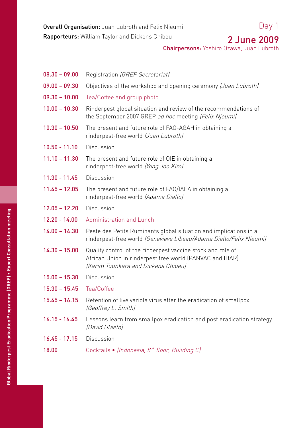Rapporteurs: William Taylor and Dickens Chibeu

## 2 June 2009

Chairpersons: Yoshiro Ozawa, Juan Lubroth

| $08.30 - 09.00$ | Registration (GREP Secretariat)                                                                                                                                |
|-----------------|----------------------------------------------------------------------------------------------------------------------------------------------------------------|
| $09.00 - 09.30$ | Objectives of the workshop and opening ceremony (Juan Lubroth)                                                                                                 |
| $09.30 - 10.00$ | Tea/Coffee and group photo                                                                                                                                     |
| $10.00 - 10.30$ | Rinderpest global situation and review of the recommendations of<br>the September 2007 GREP ad hoc meeting (Felix Njeumi)                                      |
| $10.30 - 10.50$ | The present and future role of FAO-AGAH in obtaining a<br>rinderpest-free world (Juan Lubroth)                                                                 |
| $10.50 - 11.10$ | Discussion                                                                                                                                                     |
| $11.10 - 11.30$ | The present and future role of OIE in obtaining a<br>rinderpest-free world (Yong Joo Kim)                                                                      |
| $11.30 - 11.45$ | Discussion                                                                                                                                                     |
| $11.45 - 12.05$ | The present and future role of FAO/IAEA in obtaining a<br>rinderpest-free world (Adama Diallo)                                                                 |
| $12.05 - 12.20$ | <b>Discussion</b>                                                                                                                                              |
| $12.20 - 14.00$ | Administration and Lunch                                                                                                                                       |
| $14.00 - 14.30$ | Peste des Petits Ruminants global situation and implications in a<br>rinderpest-free world (Genevieve Libeau/Adama Diallo/Felix Njeumi)                        |
| $14.30 - 15.00$ | Quality control of the rinderpest vaccine stock and role of<br>African Union in rinderpest free world (PANVAC and IBAR)<br>(Karim Tounkara and Dickens Chibeu) |
| $15.00 - 15.30$ | Discussion                                                                                                                                                     |
| $15.30 - 15.45$ | Tea/Coffee                                                                                                                                                     |
| $15.45 - 16.15$ | Retention of live variola virus after the eradication of smallpox<br>(Geoffrey L. Smith)                                                                       |
| $16.15 - 16.45$ | Lessons learn from smallpox eradication and post eradication strategy<br>(David Ulaeto)                                                                        |
| $16.45 - 17.15$ | <b>Discussion</b>                                                                                                                                              |
| 18.00           | Cocktails • (Indonesia, 8 <sup>th</sup> floor, Building C)                                                                                                     |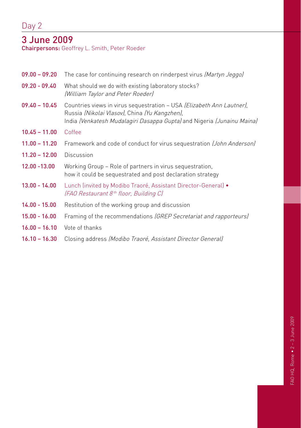### 3 June 2009

Chairpersons: Geoffrey L. Smith, Peter Roeder

| $09.00 - 09.20$ | The case for continuing research on rinderpest virus (Martyn Jeggo)                                                                                                                              |
|-----------------|--------------------------------------------------------------------------------------------------------------------------------------------------------------------------------------------------|
| $09.20 - 09.40$ | What should we do with existing laboratory stocks?<br>(William Taylor and Peter Roeder)                                                                                                          |
| $09.40 - 10.45$ | Countries views in virus sequestration - USA (Elizabeth Ann Lautner),<br>Russia (Nikolai Vlasov), China (Yu Kangzhen),<br>India (Venkatesh Mudalagiri Dasappa Gupta) and Nigeria (Junainu Maina) |
| $10.45 - 11.00$ | Coffee                                                                                                                                                                                           |
| $11.00 - 11.20$ | Framework and code of conduct for virus sequestration (John Anderson)                                                                                                                            |
| $11.20 - 12.00$ | <b>Discussion</b>                                                                                                                                                                                |
| $12.00 - 13.00$ | Working Group - Role of partners in virus sequestration,<br>how it could be sequestrated and post declaration strategy                                                                           |
| $13.00 - 14.00$ | Lunch (invited by Modibo Traoré, Assistant Director-General) •<br>(FAO Restaurant 8 <sup>th</sup> floor, Building C)                                                                             |
| $14.00 - 15.00$ | Restitution of the working group and discussion                                                                                                                                                  |
| $15.00 - 16.00$ | Framing of the recommendations (GREP Secretariat and rapporteurs)                                                                                                                                |
| $16.00 - 16.10$ | Vote of thanks                                                                                                                                                                                   |
| $16.10 - 16.30$ | Closing address (Modibo Traoré, Assistant Director General)                                                                                                                                      |